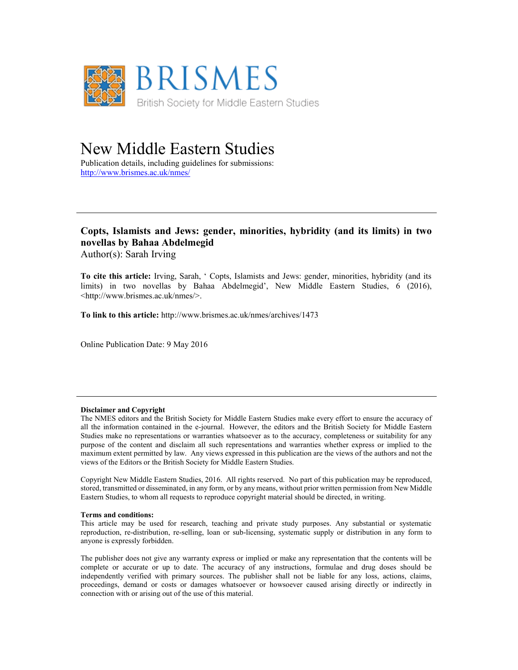

## New Middle Eastern Studies

Publication details, including guidelines for submissions: <http://www.brismes.ac.uk/nmes/>

### **Copts, Islamists and Jews: gender, minorities, hybridity (and its limits) in two novellas by Bahaa Abdelmegid**

Author(s): Sarah Irving

**To cite this article:** Irving, Sarah, ' Copts, Islamists and Jews: gender, minorities, hybridity (and its limits) in two novellas by Bahaa Abdelmegid', New Middle Eastern Studies, 6 (2016), <http://www.brismes.ac.uk/nmes/>.

**To link to this article:** http://www.brismes.ac.uk/nmes/archives/1473

Online Publication Date: 9 May 2016

#### **Disclaimer and Copyright**

The NMES editors and the British Society for Middle Eastern Studies make every effort to ensure the accuracy of all the information contained in the e-journal. However, the editors and the British Society for Middle Eastern Studies make no representations or warranties whatsoever as to the accuracy, completeness or suitability for any purpose of the content and disclaim all such representations and warranties whether express or implied to the maximum extent permitted by law. Any views expressed in this publication are the views of the authors and not the views of the Editors or the British Society for Middle Eastern Studies.

Copyright New Middle Eastern Studies, 2016. All rights reserved. No part of this publication may be reproduced, stored, transmitted or disseminated, in any form, or by any means, without prior written permission from New Middle Eastern Studies, to whom all requests to reproduce copyright material should be directed, in writing.

#### **Terms and conditions:**

This article may be used for research, teaching and private study purposes. Any substantial or systematic reproduction, re-distribution, re-selling, loan or sub-licensing, systematic supply or distribution in any form to anyone is expressly forbidden.

The publisher does not give any warranty express or implied or make any representation that the contents will be complete or accurate or up to date. The accuracy of any instructions, formulae and drug doses should be independently verified with primary sources. The publisher shall not be liable for any loss, actions, claims, proceedings, demand or costs or damages whatsoever or howsoever caused arising directly or indirectly in connection with or arising out of the use of this material.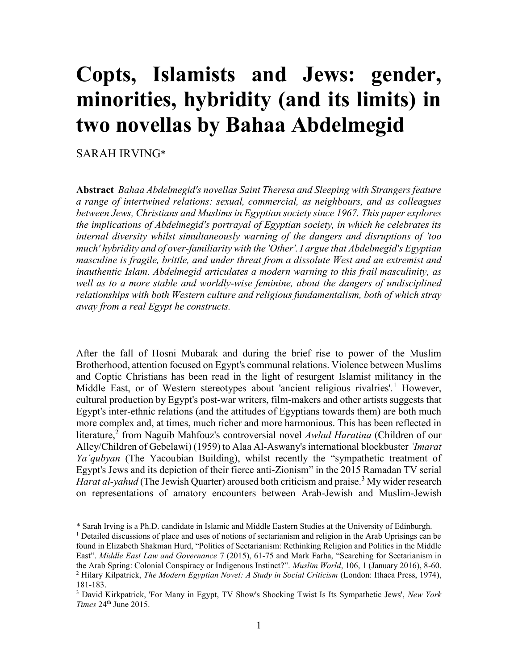# **Copts, Islamists and Jews: gender, minorities, hybridity (and its limits) in two novellas by Bahaa Abdelmegid**

SARAH IRVING\*

 $\overline{a}$ 

**Abstract** *Bahaa Abdelmegid's novellas Saint Theresa and Sleeping with Strangers feature a range of intertwined relations: sexual, commercial, as neighbours, and as colleagues between Jews, Christians and Muslims in Egyptian society since 1967. This paper explores the implications of Abdelmegid's portrayal of Egyptian society, in which he celebrates its internal diversity whilst simultaneously warning of the dangers and disruptions of 'too much' hybridity and of over-familiarity with the 'Other'. I argue that Abdelmegid's Egyptian masculine is fragile, brittle, and under threat from a dissolute West and an extremist and inauthentic Islam. Abdelmegid articulates a modern warning to this frail masculinity, as well as to a more stable and worldly-wise feminine, about the dangers of undisciplined relationships with both Western culture and religious fundamentalism, both of which stray away from a real Egypt he constructs.*

After the fall of Hosni Mubarak and during the brief rise to power of the Muslim Brotherhood, attention focused on Egypt's communal relations. Violence between Muslims and Coptic Christians has been read in the light of resurgent Islamist militancy in the Middle East, or of Western stereotypes about 'ancient religious rivalries'.<sup>1</sup> However, cultural production by Egypt's post-war writers, film-makers and other artists suggests that Egypt's inter-ethnic relations (and the attitudes of Egyptians towards them) are both much more complex and, at times, much richer and more harmonious. This has been reflected in literature,<sup>2</sup> from Naguib Mahfouz's controversial novel *Awlad Haratina* (Children of our Alley/Children of Gebelawi) (1959) to Alaa Al-Aswany's international blockbuster *ʿImarat Yaʿqubyan* (The Yacoubian Building), whilst recently the "sympathetic treatment of Egypt's Jews and its depiction of their fierce anti-Zionism" in the 2015 Ramadan TV serial *Harat al-yahud* (The Jewish Quarter) aroused both criticism and praise.<sup>3</sup> My wider research on representations of amatory encounters between Arab-Jewish and Muslim-Jewish

<sup>\*</sup> Sarah Irving is a Ph.D. candidate in Islamic and Middle Eastern Studies at the University of Edinburgh.

<sup>1</sup> Detailed discussions of place and uses of notions of sectarianism and religion in the Arab Uprisings can be found in Elizabeth Shakman Hurd, "Politics of Sectarianism: Rethinking Religion and Politics in the Middle East". *Middle East Law and Governance* 7 (2015), 61-75 and Mark Farha, "Searching for Sectarianism in the Arab Spring: Colonial Conspiracy or Indigenous Instinct?". *Muslim World*, 106, 1 (January 2016), 8-60. <sup>2</sup> Hilary Kilpatrick, *The Modern Egyptian Novel: A Study in Social Criticism* (London: Ithaca Press, 1974), 181-183.

<sup>3</sup> David Kirkpatrick, 'For Many in Egypt, TV Show's Shocking Twist Is Its Sympathetic Jews', *New York Times* 24<sup>th</sup> June 2015.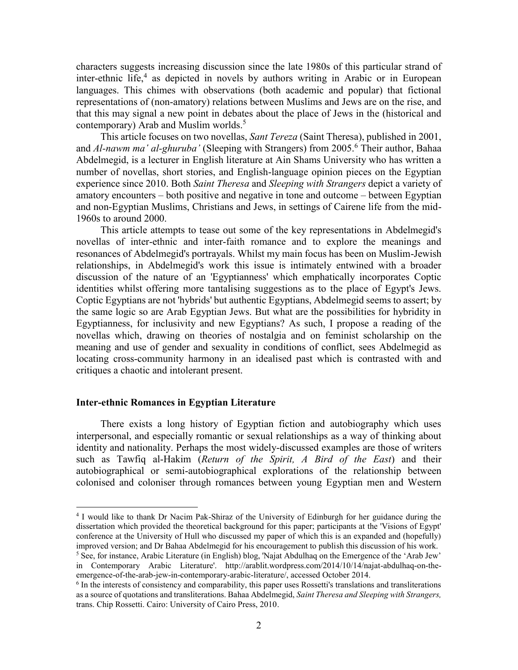characters suggests increasing discussion since the late 1980s of this particular strand of inter-ethnic life,<sup>4</sup> as depicted in novels by authors writing in Arabic or in European languages. This chimes with observations (both academic and popular) that fictional representations of (non-amatory) relations between Muslims and Jews are on the rise, and that this may signal a new point in debates about the place of Jews in the (historical and contemporary) Arab and Muslim worlds.<sup>5</sup>

This article focuses on two novellas, *Sant Tereza* (Saint Theresa), published in 2001, and *Al-nawm ma' al-ghuruba'* (Sleeping with Strangers) from 2005.<sup>6</sup> Their author, Bahaa Abdelmegid, is a lecturer in English literature at Ain Shams University who has written a number of novellas, short stories, and English-language opinion pieces on the Egyptian experience since 2010. Both *Saint Theresa* and *Sleeping with Strangers* depict a variety of amatory encounters – both positive and negative in tone and outcome – between Egyptian and non-Egyptian Muslims, Christians and Jews, in settings of Cairene life from the mid-1960s to around 2000.

This article attempts to tease out some of the key representations in Abdelmegid's novellas of inter-ethnic and inter-faith romance and to explore the meanings and resonances of Abdelmegid's portrayals. Whilst my main focus has been on Muslim-Jewish relationships, in Abdelmegid's work this issue is intimately entwined with a broader discussion of the nature of an 'Egyptianness' which emphatically incorporates Coptic identities whilst offering more tantalising suggestions as to the place of Egypt's Jews. Coptic Egyptians are not 'hybrids' but authentic Egyptians, Abdelmegid seems to assert; by the same logic so are Arab Egyptian Jews. But what are the possibilities for hybridity in Egyptianness, for inclusivity and new Egyptians? As such, I propose a reading of the novellas which, drawing on theories of nostalgia and on feminist scholarship on the meaning and use of gender and sexuality in conditions of conflict, sees Abdelmegid as locating cross-community harmony in an idealised past which is contrasted with and critiques a chaotic and intolerant present.

#### **Inter-ethnic Romances in Egyptian Literature**

 $\overline{a}$ 

There exists a long history of Egyptian fiction and autobiography which uses interpersonal, and especially romantic or sexual relationships as a way of thinking about identity and nationality. Perhaps the most widely-discussed examples are those of writers such as Tawfiq al-Hakim (*Return of the Spirit, A Bird of the East*) and their autobiographical or semi-autobiographical explorations of the relationship between colonised and coloniser through romances between young Egyptian men and Western

<sup>4</sup> I would like to thank Dr Nacim Pak-Shiraz of the University of Edinburgh for her guidance during the dissertation which provided the theoretical background for this paper; participants at the 'Visions of Egypt' conference at the University of Hull who discussed my paper of which this is an expanded and (hopefully) improved version; and Dr Bahaa Abdelmegid for his encouragement to publish this discussion of his work. <sup>5</sup> See, for instance, Arabic Literature (in English) blog, 'Najat Abdulhaq on the Emergence of the 'Arab Jew'

in Contemporary Arabic Literature'. http://arablit.wordpress.com/2014/10/14/najat-abdulhaq-on-theemergence-of-the-arab-jew-in-contemporary-arabic-literature/, accessed October 2014.

<sup>6</sup> In the interests of consistency and comparability, this paper uses Rossetti's translations and transliterations as a source of quotations and transliterations. Bahaa Abdelmegid, *Saint Theresa and Sleeping with Strangers,*  trans. Chip Rossetti. Cairo: University of Cairo Press, 2010.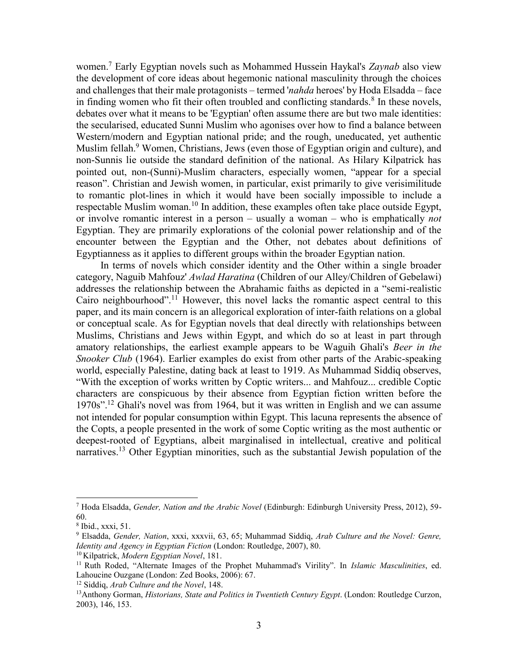women.<sup>7</sup> Early Egyptian novels such as Mohammed Hussein Haykal's *Zaynab* also view the development of core ideas about hegemonic national masculinity through the choices and challenges that their male protagonists – termed '*nahda* heroes' by Hoda Elsadda – face in finding women who fit their often troubled and conflicting standards.<sup>8</sup> In these novels, debates over what it means to be 'Egyptian' often assume there are but two male identities: the secularised, educated Sunni Muslim who agonises over how to find a balance between Western/modern and Egyptian national pride; and the rough, uneducated, yet authentic Muslim fellah.<sup>9</sup> Women, Christians, Jews (even those of Egyptian origin and culture), and non-Sunnis lie outside the standard definition of the national. As Hilary Kilpatrick has pointed out, non-(Sunni)-Muslim characters, especially women, "appear for a special reason". Christian and Jewish women, in particular, exist primarily to give verisimilitude to romantic plot-lines in which it would have been socially impossible to include a respectable Muslim woman.<sup>10</sup> In addition, these examples often take place outside Egypt, or involve romantic interest in a person – usually a woman – who is emphatically *not* Egyptian. They are primarily explorations of the colonial power relationship and of the encounter between the Egyptian and the Other, not debates about definitions of Egyptianness as it applies to different groups within the broader Egyptian nation.

In terms of novels which consider identity and the Other within a single broader category, Naguib Mahfouz' *Awlad Haratina* (Children of our Alley/Children of Gebelawi) addresses the relationship between the Abrahamic faiths as depicted in a "semi-realistic Cairo neighbourhood".<sup>11</sup> However, this novel lacks the romantic aspect central to this paper, and its main concern is an allegorical exploration of inter-faith relations on a global or conceptual scale. As for Egyptian novels that deal directly with relationships between Muslims, Christians and Jews within Egypt, and which do so at least in part through amatory relationships, the earliest example appears to be Waguih Ghali's *Beer in the Snooker Club* (1964). Earlier examples do exist from other parts of the Arabic-speaking world, especially Palestine, dating back at least to 1919. As Muhammad Siddiq observes, "With the exception of works written by Coptic writers... and Mahfouz... credible Coptic characters are conspicuous by their absence from Egyptian fiction written before the 1970s".<sup>12</sup> Ghali's novel was from 1964, but it was written in English and we can assume not intended for popular consumption within Egypt. This lacuna represents the absence of the Copts, a people presented in the work of some Coptic writing as the most authentic or deepest-rooted of Egyptians, albeit marginalised in intellectual, creative and political narratives.<sup>13</sup> Other Egyptian minorities, such as the substantial Jewish population of the

<sup>7</sup> Hoda Elsadda, *Gender, Nation and the Arabic Novel* (Edinburgh: Edinburgh University Press, 2012), 59- 60.

<sup>8</sup> Ibid., xxxi, 51.

<sup>9</sup> Elsadda, *Gender, Nation*, xxxi, xxxvii, 63, 65; Muhammad Siddiq, *Arab Culture and the Novel: Genre, Identity and Agency in Egyptian Fiction* (London: Routledge, 2007), 80.

<sup>10</sup> Kilpatrick, *Modern Egyptian Novel*, 181.

<sup>11</sup> Ruth Roded, "Alternate Images of the Prophet Muhammad's Virility". In *Islamic Masculinities*, ed. Lahoucine Ouzgane (London: Zed Books, 2006): 67.

<sup>12</sup> Siddiq, *Arab Culture and the Novel*, 148.

<sup>&</sup>lt;sup>13</sup>Anthony Gorman, *Historians, State and Politics in Twentieth Century Egypt.* (London: Routledge Curzon, 2003), 146, 153.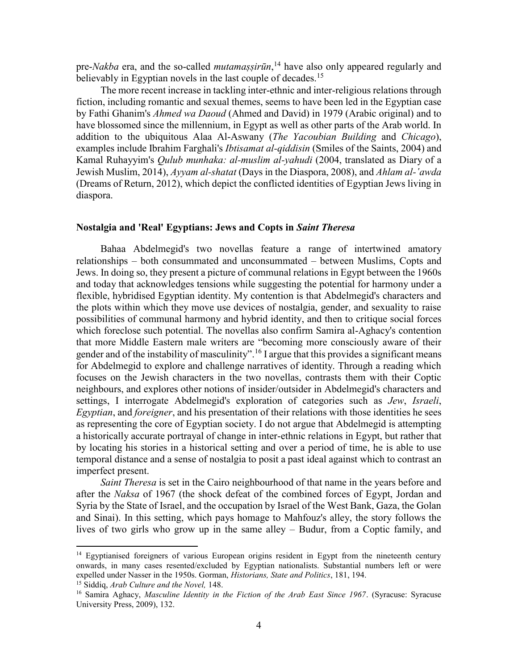pre-*Nakba* era, and the so-called *mutamaṣṣirūn*, <sup>14</sup> have also only appeared regularly and believably in Egyptian novels in the last couple of decades.<sup>15</sup>

The more recent increase in tackling inter-ethnic and inter-religious relations through fiction, including romantic and sexual themes, seems to have been led in the Egyptian case by Fathi Ghanim's *Ahmed wa Daoud* (Ahmed and David) in 1979 (Arabic original) and to have blossomed since the millennium, in Egypt as well as other parts of the Arab world. In addition to the ubiquitous Alaa Al-Aswany (*The Yacoubian Building* and *Chicago*), examples include Ibrahim Farghali's *Ibtisamat al-qiddisin* (Smiles of the Saints, 2004) and Kamal Ruhayyim's *Qulub munhaka: al-muslim al-yahudi* (2004, translated as Diary of a Jewish Muslim, 2014), *Ayyam al-shatat* (Days in the Diaspora, 2008), and *Ahlam al-ʽawda*  (Dreams of Return, 2012), which depict the conflicted identities of Egyptian Jews living in diaspora.

#### **Nostalgia and 'Real' Egyptians: Jews and Copts in** *Saint Theresa*

Bahaa Abdelmegid's two novellas feature a range of intertwined amatory relationships – both consummated and unconsummated – between Muslims, Copts and Jews. In doing so, they present a picture of communal relations in Egypt between the 1960s and today that acknowledges tensions while suggesting the potential for harmony under a flexible, hybridised Egyptian identity. My contention is that Abdelmegid's characters and the plots within which they move use devices of nostalgia, gender, and sexuality to raise possibilities of communal harmony and hybrid identity, and then to critique social forces which foreclose such potential. The novellas also confirm Samira al-Aghacy's contention that more Middle Eastern male writers are "becoming more consciously aware of their gender and of the instability of masculinity".<sup>16</sup> I argue that this provides a significant means for Abdelmegid to explore and challenge narratives of identity. Through a reading which focuses on the Jewish characters in the two novellas, contrasts them with their Coptic neighbours, and explores other notions of insider/outsider in Abdelmegid's characters and settings, I interrogate Abdelmegid's exploration of categories such as *Jew*, *Israeli*, *Egyptian*, and *foreigner*, and his presentation of their relations with those identities he sees as representing the core of Egyptian society. I do not argue that Abdelmegid is attempting a historically accurate portrayal of change in inter-ethnic relations in Egypt, but rather that by locating his stories in a historical setting and over a period of time, he is able to use temporal distance and a sense of nostalgia to posit a past ideal against which to contrast an imperfect present.

*Saint Theresa* is set in the Cairo neighbourhood of that name in the years before and after the *Naksa* of 1967 (the shock defeat of the combined forces of Egypt, Jordan and Syria by the State of Israel, and the occupation by Israel of the West Bank, Gaza, the Golan and Sinai). In this setting, which pays homage to Mahfouz's alley, the story follows the lives of two girls who grow up in the same alley – Budur, from a Coptic family, and

<sup>&</sup>lt;sup>14</sup> Egyptianised foreigners of various European origins resident in Egypt from the nineteenth century onwards, in many cases resented/excluded by Egyptian nationalists. Substantial numbers left or were expelled under Nasser in the 1950s. Gorman, *Historians, State and Politics*, 181, 194.

<sup>15</sup> Siddiq, *Arab Culture and the Novel,* 148.

<sup>16</sup> Samira Aghacy, *Masculine Identity in the Fiction of the Arab East Since 1967*. (Syracuse: Syracuse University Press, 2009), 132.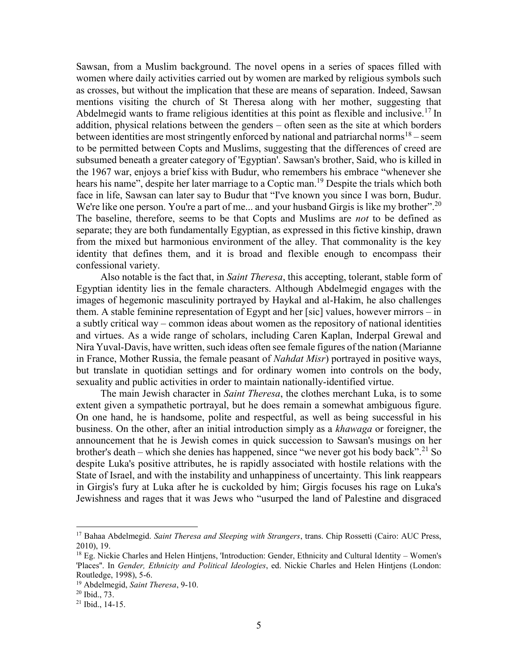Sawsan, from a Muslim background. The novel opens in a series of spaces filled with women where daily activities carried out by women are marked by religious symbols such as crosses, but without the implication that these are means of separation. Indeed, Sawsan mentions visiting the church of St Theresa along with her mother, suggesting that Abdelmegid wants to frame religious identities at this point as flexible and inclusive.<sup>17</sup> In addition, physical relations between the genders – often seen as the site at which borders between identities are most stringently enforced by national and patriarchal norms<sup>18</sup> – seem to be permitted between Copts and Muslims, suggesting that the differences of creed are subsumed beneath a greater category of 'Egyptian'. Sawsan's brother, Said, who is killed in the 1967 war, enjoys a brief kiss with Budur, who remembers his embrace "whenever she hears his name", despite her later marriage to a Coptic man.<sup>19</sup> Despite the trials which both face in life, Sawsan can later say to Budur that "I've known you since I was born, Budur. We're like one person. You're a part of me... and your husband Girgis is like my brother".<sup>20</sup> The baseline, therefore, seems to be that Copts and Muslims are *not* to be defined as separate; they are both fundamentally Egyptian, as expressed in this fictive kinship, drawn from the mixed but harmonious environment of the alley. That commonality is the key identity that defines them, and it is broad and flexible enough to encompass their confessional variety.

Also notable is the fact that, in *Saint Theresa*, this accepting, tolerant, stable form of Egyptian identity lies in the female characters. Although Abdelmegid engages with the images of hegemonic masculinity portrayed by Haykal and al-Hakim, he also challenges them. A stable feminine representation of Egypt and her [sic] values, however mirrors – in a subtly critical way – common ideas about women as the repository of national identities and virtues. As a wide range of scholars, including Caren Kaplan, Inderpal Grewal and Nira Yuval-Davis, have written, such ideas often see female figures of the nation (Marianne in France, Mother Russia, the female peasant of *Nahdat Misr*) portrayed in positive ways, but translate in quotidian settings and for ordinary women into controls on the body, sexuality and public activities in order to maintain nationally-identified virtue.

The main Jewish character in *Saint Theresa*, the clothes merchant Luka, is to some extent given a sympathetic portrayal, but he does remain a somewhat ambiguous figure. On one hand, he is handsome, polite and respectful, as well as being successful in his business. On the other, after an initial introduction simply as a *khawaga* or foreigner, the announcement that he is Jewish comes in quick succession to Sawsan's musings on her brother's death – which she denies has happened, since "we never got his body back".<sup>21</sup> So despite Luka's positive attributes, he is rapidly associated with hostile relations with the State of Israel, and with the instability and unhappiness of uncertainty. This link reappears in Girgis's fury at Luka after he is cuckolded by him; Girgis focuses his rage on Luka's Jewishness and rages that it was Jews who "usurped the land of Palestine and disgraced

<sup>17</sup> Bahaa Abdelmegid. *Saint Theresa and Sleeping with Strangers*, trans. Chip Rossetti (Cairo: AUC Press, 2010), 19.

<sup>18</sup> Eg. Nickie Charles and Helen Hintjens, 'Introduction: Gender, Ethnicity and Cultural Identity – Women's 'Places''. In *Gender, Ethnicity and Political Ideologies*, ed. Nickie Charles and Helen Hintjens (London: Routledge, 1998), 5-6.

<sup>19</sup> Abdelmegid, *Saint Theresa*, 9-10.

 $20$  Ibid.,  $73$ .

<sup>21</sup> Ibid., 14-15.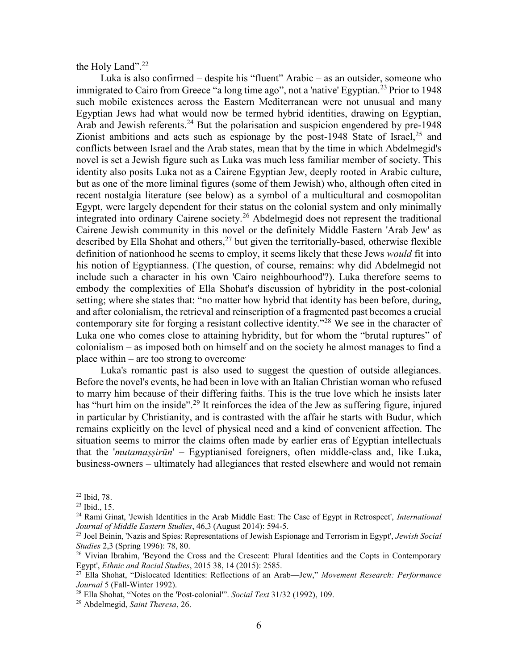the Holy Land". $^{22}$ 

Luka is also confirmed – despite his "fluent" Arabic – as an outsider, someone who immigrated to Cairo from Greece "a long time ago", not a 'native' Egyptian.<sup>23</sup> Prior to 1948 such mobile existences across the Eastern Mediterranean were not unusual and many Egyptian Jews had what would now be termed hybrid identities, drawing on Egyptian, Arab and Jewish referents.<sup>24</sup> But the polarisation and suspicion engendered by pre-1948 Zionist ambitions and acts such as espionage by the post-1948 State of Israel,  $25$  and conflicts between Israel and the Arab states, mean that by the time in which Abdelmegid's novel is set a Jewish figure such as Luka was much less familiar member of society. This identity also posits Luka not as a Cairene Egyptian Jew, deeply rooted in Arabic culture, but as one of the more liminal figures (some of them Jewish) who, although often cited in recent nostalgia literature (see below) as a symbol of a multicultural and cosmopolitan Egypt, were largely dependent for their status on the colonial system and only minimally integrated into ordinary Cairene society.<sup>26</sup> Abdelmegid does not represent the traditional Cairene Jewish community in this novel or the definitely Middle Eastern 'Arab Jew' as described by Ella Shohat and others,  $27$  but given the territorially-based, otherwise flexible definition of nationhood he seems to employ, it seems likely that these Jews *would* fit into his notion of Egyptianness. (The question, of course, remains: why did Abdelmegid not include such a character in his own 'Cairo neighbourhood'?). Luka therefore seems to embody the complexities of Ella Shohat's discussion of hybridity in the post-colonial setting; where she states that: "no matter how hybrid that identity has been before, during, and after colonialism, the retrieval and reinscription of a fragmented past becomes a crucial contemporary site for forging a resistant collective identity."<sup>28</sup> We see in the character of Luka one who comes close to attaining hybridity, but for whom the "brutal ruptures" of colonialism – as imposed both on himself and on the society he almost manages to find a place within – are too strong to overcome.

Luka's romantic past is also used to suggest the question of outside allegiances. Before the novel's events, he had been in love with an Italian Christian woman who refused to marry him because of their differing faiths. This is the true love which he insists later has "hurt him on the inside".<sup>29</sup> It reinforces the idea of the Jew as suffering figure, injured in particular by Christianity, and is contrasted with the affair he starts with Budur, which remains explicitly on the level of physical need and a kind of convenient affection. The situation seems to mirror the claims often made by earlier eras of Egyptian intellectuals that the '*mutamaṣṣirūn*' – Egyptianised foreigners, often middle-class and, like Luka, business-owners – ultimately had allegiances that rested elsewhere and would not remain

<sup>22</sup> Ibid, 78.

<sup>23</sup> Ibid., 15.

<sup>24</sup> Rami Ginat, 'Jewish Identities in the Arab Middle East: The Case of Egypt in Retrospect', *International Journal of Middle Eastern Studies*, 46,3 (August 2014): 594-5.

<sup>25</sup> Joel Beinin, 'Nazis and Spies: Representations of Jewish Espionage and Terrorism in Egypt', *Jewish Social Studies* 2,3 (Spring 1996): 78, 80.

<sup>&</sup>lt;sup>26</sup> Vivian Ibrahim, 'Beyond the Cross and the Crescent: Plural Identities and the Copts in Contemporary Egypt', *Ethnic and Racial Studies*, 2015 38, 14 (2015): 2585.

<sup>27</sup> Ella Shohat, "Dislocated Identities: Reflections of an Arab—Jew," *Movement Research: Performance Journal* 5 (Fall-Winter 1992).

<sup>28</sup> Ella Shohat, "Notes on the 'Post-colonial'". *Social Text* 31/32 (1992), 109.

<sup>29</sup> Abdelmegid, *Saint Theresa*, 26.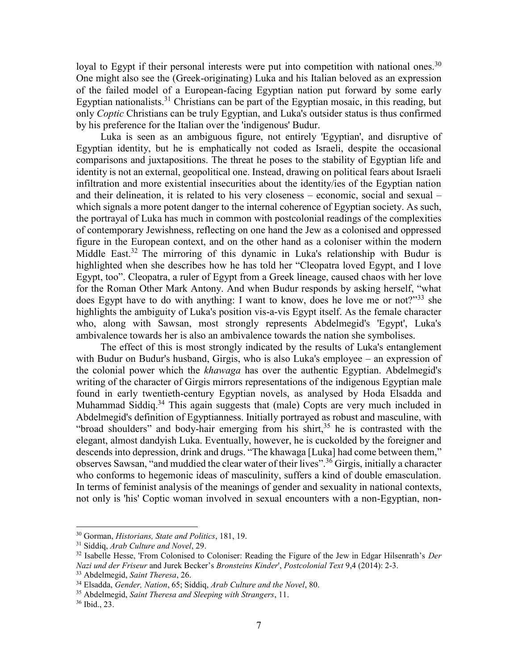loyal to Egypt if their personal interests were put into competition with national ones.<sup>30</sup> One might also see the (Greek-originating) Luka and his Italian beloved as an expression of the failed model of a European-facing Egyptian nation put forward by some early Egyptian nationalists.<sup>31</sup> Christians can be part of the Egyptian mosaic, in this reading, but only *Coptic* Christians can be truly Egyptian, and Luka's outsider status is thus confirmed by his preference for the Italian over the 'indigenous' Budur.

Luka is seen as an ambiguous figure, not entirely 'Egyptian', and disruptive of Egyptian identity, but he is emphatically not coded as Israeli, despite the occasional comparisons and juxtapositions. The threat he poses to the stability of Egyptian life and identity is not an external, geopolitical one. Instead, drawing on political fears about Israeli infiltration and more existential insecurities about the identity/ies of the Egyptian nation and their delineation, it is related to his very closeness – economic, social and sexual – which signals a more potent danger to the internal coherence of Egyptian society. As such, the portrayal of Luka has much in common with postcolonial readings of the complexities of contemporary Jewishness, reflecting on one hand the Jew as a colonised and oppressed figure in the European context, and on the other hand as a coloniser within the modern Middle East.<sup>32</sup> The mirroring of this dynamic in Luka's relationship with Budur is highlighted when she describes how he has told her "Cleopatra loved Egypt, and I love Egypt, too". Cleopatra, a ruler of Egypt from a Greek lineage, caused chaos with her love for the Roman Other Mark Antony. And when Budur responds by asking herself, "what does Egypt have to do with anything: I want to know, does he love me or not?"<sup>33</sup> she highlights the ambiguity of Luka's position vis-a-vis Egypt itself. As the female character who, along with Sawsan, most strongly represents Abdelmegid's 'Egypt', Luka's ambivalence towards her is also an ambivalence towards the nation she symbolises.

The effect of this is most strongly indicated by the results of Luka's entanglement with Budur on Budur's husband, Girgis, who is also Luka's employee – an expression of the colonial power which the *khawaga* has over the authentic Egyptian. Abdelmegid's writing of the character of Girgis mirrors representations of the indigenous Egyptian male found in early twentieth-century Egyptian novels, as analysed by Hoda Elsadda and Muhammad Siddiq.<sup>34</sup> This again suggests that (male) Copts are very much included in Abdelmegid's definition of Egyptianness. Initially portrayed as robust and masculine, with "broad shoulders" and body-hair emerging from his shirt, $35$  he is contrasted with the elegant, almost dandyish Luka. Eventually, however, he is cuckolded by the foreigner and descends into depression, drink and drugs. "The khawaga [Luka] had come between them," observes Sawsan, "and muddied the clear water of their lives".<sup>36</sup> Girgis, initially a character who conforms to hegemonic ideas of masculinity, suffers a kind of double emasculation. In terms of feminist analysis of the meanings of gender and sexuality in national contexts, not only is 'his' Coptic woman involved in sexual encounters with a non-Egyptian, non-

<sup>30</sup> Gorman, *Historians, State and Politics*, 181, 19.

<sup>31</sup> Siddiq, *Arab Culture and Novel*, 29.

<sup>32</sup> Isabelle Hesse, 'From Colonised to Coloniser: Reading the Figure of the Jew in Edgar Hilsenrath's *Der Nazi und der Friseur* and Jurek Becker's *Bronsteins Kinder*', *Postcolonial Text* 9,4 (2014): 2-3.

<sup>33</sup> Abdelmegid, *Saint Theresa*, 26.

<sup>34</sup> Elsadda, *Gender, Nation*, 65; Siddiq, *Arab Culture and the Novel*, 80.

<sup>35</sup> Abdelmegid, *Saint Theresa and Sleeping with Strangers*, 11.

<sup>36</sup> Ibid., 23.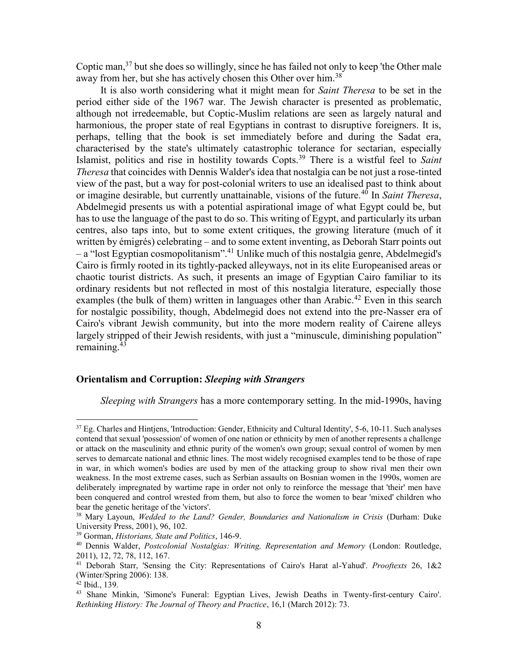Coptic man,<sup>37</sup> but she does so willingly, since he has failed not only to keep 'the Other male away from her, but she has actively chosen this Other over him.<sup>38</sup>

It is also worth considering what it might mean for *Saint Theresa* to be set in the period either side of the 1967 war. The Jewish character is presented as problematic, although not irredeemable, but Coptic-Muslim relations are seen as largely natural and harmonious, the proper state of real Egyptians in contrast to disruptive foreigners. It is, perhaps, telling that the book is set immediately before and during the Sadat era, characterised by the state's ultimately catastrophic tolerance for sectarian, especially Islamist, politics and rise in hostility towards Copts.<sup>39</sup> There is a wistful feel to *Saint Theresa* that coincides with Dennis Walder's idea that nostalgia can be not just a rose-tinted view of the past, but a way for post-colonial writers to use an idealised past to think about or imagine desirable, but currently unattainable, visions of the future.<sup>40</sup> In *Saint Theresa*, Abdelmegid presents us with a potential aspirational image of what Egypt could be, but has to use the language of the past to do so. This writing of Egypt, and particularly its urban centres, also taps into, but to some extent critiques, the growing literature (much of it written by émigrés) celebrating – and to some extent inventing, as Deborah Starr points out – a "lost Egyptian cosmopolitanism".<sup>41</sup> Unlike much of this nostalgia genre, Abdelmegid's Cairo is firmly rooted in its tightly-packed alleyways, not in its elite Europeanised areas or chaotic tourist districts. As such, it presents an image of Egyptian Cairo familiar to its ordinary residents but not reflected in most of this nostalgia literature, especially those examples (the bulk of them) written in languages other than Arabic.<sup>42</sup> Even in this search for nostalgic possibility, though, Abdelmegid does not extend into the pre-Nasser era of Cairo's vibrant Jewish community, but into the more modern reality of Cairene alleys largely stripped of their Jewish residents, with just a "minuscule, diminishing population" remaining. $43$ 

#### **Orientalism and Corruption:** *Sleeping with Strangers*

*Sleeping with Strangers* has a more contemporary setting. In the mid-1990s, having

<sup>&</sup>lt;sup>37</sup> Eg. Charles and Hintjens, 'Introduction: Gender, Ethnicity and Cultural Identity', 5-6, 10-11. Such analyses contend that sexual 'possession' of women of one nation or ethnicity by men of another represents a challenge or attack on the masculinity and ethnic purity of the women's own group; sexual control of women by men serves to demarcate national and ethnic lines. The most widely recognised examples tend to be those of rape in war, in which women's bodies are used by men of the attacking group to show rival men their own weakness. In the most extreme cases, such as Serbian assaults on Bosnian women in the 1990s, women are deliberately impregnated by wartime rape in order not only to reinforce the message that 'their' men have been conquered and control wrested from them, but also to force the women to bear 'mixed' children who bear the genetic heritage of the 'victors'.

<sup>38</sup> Mary Layoun, *Wedded to the Land? Gender, Boundaries and Nationalism in Crisis* (Durham: Duke University Press, 2001), 96, 102.

<sup>39</sup> Gorman, *Historians, State and Politics*, 146-9.

<sup>40</sup> Dennis Walder, *Postcolonial Nostalgias: Writing, Representation and Memory* (London: Routledge, 2011), 12, 72, 78, 112, 167.

<sup>41</sup> Deborah Starr, 'Sensing the City: Representations of Cairo's Harat al-Yahud'. *Prooftexts* 26, 1&2 (Winter/Spring 2006): 138.

 $42$  Ibid., 139.

<sup>43</sup> Shane Minkin, 'Simone's Funeral: Egyptian Lives, Jewish Deaths in Twenty-first-century Cairo'. *Rethinking History: The Journal of Theory and Practice*, 16,1 (March 2012): 73.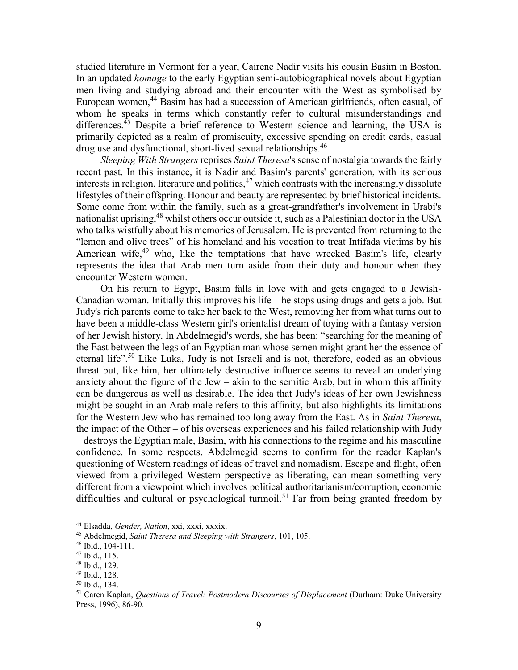studied literature in Vermont for a year, Cairene Nadir visits his cousin Basim in Boston. In an updated *homage* to the early Egyptian semi-autobiographical novels about Egyptian men living and studying abroad and their encounter with the West as symbolised by European women,<sup>44</sup> Basim has had a succession of American girlfriends, often casual, of whom he speaks in terms which constantly refer to cultural misunderstandings and differences.<sup>45</sup> Despite a brief reference to Western science and learning, the USA is primarily depicted as a realm of promiscuity, excessive spending on credit cards, casual drug use and dysfunctional, short-lived sexual relationships.<sup>46</sup>

*Sleeping With Strangers* reprises *Saint Theresa*'s sense of nostalgia towards the fairly recent past. In this instance, it is Nadir and Basim's parents' generation, with its serious interests in religion, literature and politics,  $47$  which contrasts with the increasingly dissolute lifestyles of their offspring. Honour and beauty are represented by brief historical incidents. Some come from within the family, such as a great-grandfather's involvement in Urabi's nationalist uprising,  $48$  whilst others occur outside it, such as a Palestinian doctor in the USA who talks wistfully about his memories of Jerusalem. He is prevented from returning to the "lemon and olive trees" of his homeland and his vocation to treat Intifada victims by his American wife,  $49$  who, like the temptations that have wrecked Basim's life, clearly represents the idea that Arab men turn aside from their duty and honour when they encounter Western women.

On his return to Egypt, Basim falls in love with and gets engaged to a Jewish-Canadian woman. Initially this improves his life – he stops using drugs and gets a job. But Judy's rich parents come to take her back to the West, removing her from what turns out to have been a middle-class Western girl's orientalist dream of toying with a fantasy version of her Jewish history. In Abdelmegid's words, she has been: "searching for the meaning of the East between the legs of an Egyptian man whose semen might grant her the essence of eternal life".<sup>50</sup> Like Luka, Judy is not Israeli and is not, therefore, coded as an obvious threat but, like him, her ultimately destructive influence seems to reveal an underlying anxiety about the figure of the Jew – akin to the semitic Arab, but in whom this affinity can be dangerous as well as desirable. The idea that Judy's ideas of her own Jewishness might be sought in an Arab male refers to this affinity, but also highlights its limitations for the Western Jew who has remained too long away from the East. As in *Saint Theresa*, the impact of the Other – of his overseas experiences and his failed relationship with Judy – destroys the Egyptian male, Basim, with his connections to the regime and his masculine confidence. In some respects, Abdelmegid seems to confirm for the reader Kaplan's questioning of Western readings of ideas of travel and nomadism. Escape and flight, often viewed from a privileged Western perspective as liberating, can mean something very different from a viewpoint which involves political authoritarianism/corruption, economic difficulties and cultural or psychological turmoil.<sup>51</sup> Far from being granted freedom by

<sup>44</sup> Elsadda, *Gender, Nation*, xxi, xxxi, xxxix.

<sup>45</sup> Abdelmegid, *Saint Theresa and Sleeping with Strangers*, 101, 105.

<sup>46</sup> Ibid., 104-111.

<sup>47</sup> Ibid., 115.

<sup>48</sup> Ibid., 129.

<sup>49</sup> Ibid., 128.

<sup>50</sup> Ibid., 134.

<sup>51</sup> Caren Kaplan, *Questions of Travel: Postmodern Discourses of Displacement* (Durham: Duke University Press, 1996), 86-90.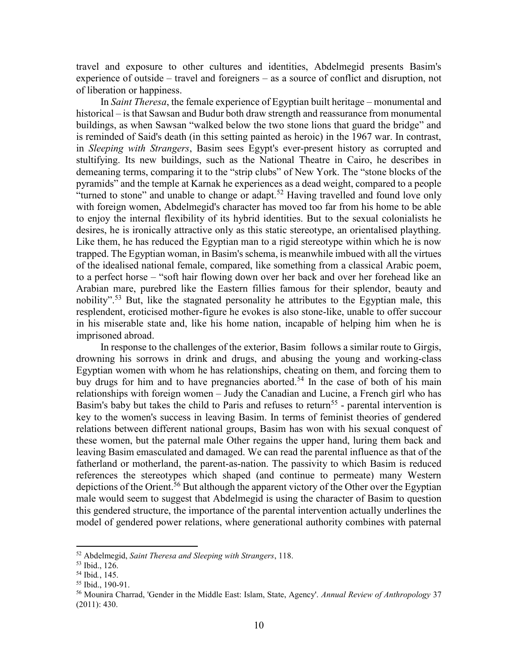travel and exposure to other cultures and identities, Abdelmegid presents Basim's experience of outside – travel and foreigners – as a source of conflict and disruption, not of liberation or happiness.

In *Saint Theresa*, the female experience of Egyptian built heritage – monumental and historical – is that Sawsan and Budur both draw strength and reassurance from monumental buildings, as when Sawsan "walked below the two stone lions that guard the bridge" and is reminded of Said's death (in this setting painted as heroic) in the 1967 war. In contrast, in *Sleeping with Strangers*, Basim sees Egypt's ever-present history as corrupted and stultifying. Its new buildings, such as the National Theatre in Cairo, he describes in demeaning terms, comparing it to the "strip clubs" of New York. The "stone blocks of the pyramids" and the temple at Karnak he experiences as a dead weight, compared to a people "turned to stone" and unable to change or adapt.<sup>52</sup> Having travelled and found love only with foreign women, Abdelmegid's character has moved too far from his home to be able to enjoy the internal flexibility of its hybrid identities. But to the sexual colonialists he desires, he is ironically attractive only as this static stereotype, an orientalised plaything. Like them, he has reduced the Egyptian man to a rigid stereotype within which he is now trapped. The Egyptian woman, in Basim's schema, is meanwhile imbued with all the virtues of the idealised national female, compared, like something from a classical Arabic poem, to a perfect horse – "soft hair flowing down over her back and over her forehead like an Arabian mare, purebred like the Eastern fillies famous for their splendor, beauty and nobility".<sup>53</sup> But, like the stagnated personality he attributes to the Egyptian male, this resplendent, eroticised mother-figure he evokes is also stone-like, unable to offer succour in his miserable state and, like his home nation, incapable of helping him when he is imprisoned abroad.

In response to the challenges of the exterior, Basim follows a similar route to Girgis, drowning his sorrows in drink and drugs, and abusing the young and working-class Egyptian women with whom he has relationships, cheating on them, and forcing them to buy drugs for him and to have pregnancies aborted.<sup>54</sup> In the case of both of his main relationships with foreign women – Judy the Canadian and Lucine, a French girl who has Basim's baby but takes the child to Paris and refuses to return<sup>55</sup> - parental intervention is key to the women's success in leaving Basim. In terms of feminist theories of gendered relations between different national groups, Basim has won with his sexual conquest of these women, but the paternal male Other regains the upper hand, luring them back and leaving Basim emasculated and damaged. We can read the parental influence as that of the fatherland or motherland, the parent-as-nation. The passivity to which Basim is reduced references the stereotypes which shaped (and continue to permeate) many Western depictions of the Orient.<sup>56</sup> But although the apparent victory of the Other over the Egyptian male would seem to suggest that Abdelmegid is using the character of Basim to question this gendered structure, the importance of the parental intervention actually underlines the model of gendered power relations, where generational authority combines with paternal

<sup>52</sup> Abdelmegid, *Saint Theresa and Sleeping with Strangers*, 118.

<sup>53</sup> Ibid., 126.

<sup>54</sup> Ibid*.*, 145.

<sup>55</sup> Ibid., 190-91.

<sup>56</sup> Mounira Charrad, 'Gender in the Middle East: Islam, State, Agency'. *Annual Review of Anthropology* 37 (2011): 430.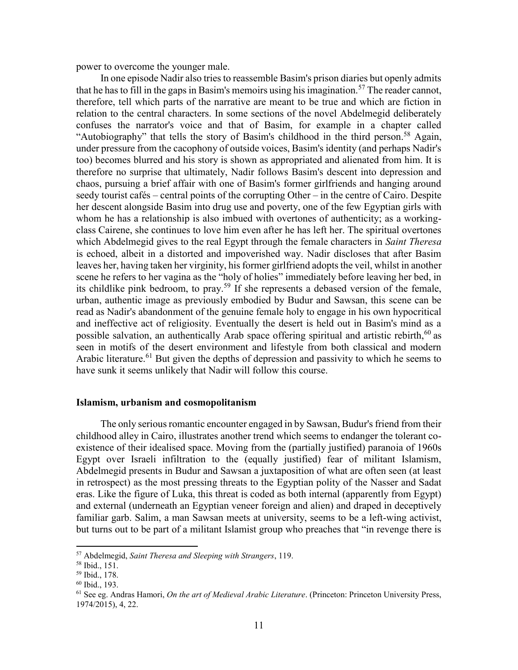power to overcome the younger male.

In one episode Nadir also tries to reassemble Basim's prison diaries but openly admits that he has to fill in the gaps in Basim's memoirs using his imagination.<sup>57</sup> The reader cannot, therefore, tell which parts of the narrative are meant to be true and which are fiction in relation to the central characters. In some sections of the novel Abdelmegid deliberately confuses the narrator's voice and that of Basim, for example in a chapter called "Autobiography" that tells the story of Basim's childhood in the third person.<sup>58</sup> Again, under pressure from the cacophony of outside voices, Basim's identity (and perhaps Nadir's too) becomes blurred and his story is shown as appropriated and alienated from him. It is therefore no surprise that ultimately, Nadir follows Basim's descent into depression and chaos, pursuing a brief affair with one of Basim's former girlfriends and hanging around seedy tourist cafés – central points of the corrupting Other – in the centre of Cairo. Despite her descent alongside Basim into drug use and poverty, one of the few Egyptian girls with whom he has a relationship is also imbued with overtones of authenticity; as a workingclass Cairene, she continues to love him even after he has left her. The spiritual overtones which Abdelmegid gives to the real Egypt through the female characters in *Saint Theresa* is echoed, albeit in a distorted and impoverished way. Nadir discloses that after Basim leaves her, having taken her virginity, his former girlfriend adopts the veil, whilst in another scene he refers to her vagina as the "holy of holies" immediately before leaving her bed, in its childlike pink bedroom, to pray.<sup>59</sup> If she represents a debased version of the female, urban, authentic image as previously embodied by Budur and Sawsan, this scene can be read as Nadir's abandonment of the genuine female holy to engage in his own hypocritical and ineffective act of religiosity. Eventually the desert is held out in Basim's mind as a possible salvation, an authentically Arab space offering spiritual and artistic rebirth,<sup>60</sup> as seen in motifs of the desert environment and lifestyle from both classical and modern Arabic literature.<sup>61</sup> But given the depths of depression and passivity to which he seems to have sunk it seems unlikely that Nadir will follow this course.

#### **Islamism, urbanism and cosmopolitanism**

The only serious romantic encounter engaged in by Sawsan, Budur's friend from their childhood alley in Cairo, illustrates another trend which seems to endanger the tolerant coexistence of their idealised space. Moving from the (partially justified) paranoia of 1960s Egypt over Israeli infiltration to the (equally justified) fear of militant Islamism, Abdelmegid presents in Budur and Sawsan a juxtaposition of what are often seen (at least in retrospect) as the most pressing threats to the Egyptian polity of the Nasser and Sadat eras. Like the figure of Luka, this threat is coded as both internal (apparently from Egypt) and external (underneath an Egyptian veneer foreign and alien) and draped in deceptively familiar garb. Salim, a man Sawsan meets at university, seems to be a left-wing activist, but turns out to be part of a militant Islamist group who preaches that "in revenge there is

<sup>57</sup> Abdelmegid, *Saint Theresa and Sleeping with Strangers*, 119.

<sup>58</sup> Ibid., 151.

<sup>59</sup> Ibid., 178.

<sup>60</sup> Ibid., 193.

<sup>61</sup> See eg. Andras Hamori, *On the art of Medieval Arabic Literature*. (Princeton: Princeton University Press, 1974/2015), 4, 22.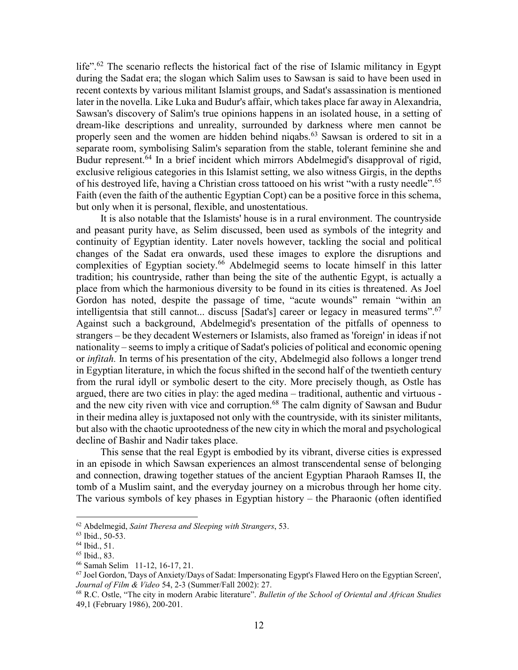life".<sup>62</sup> The scenario reflects the historical fact of the rise of Islamic militancy in Egypt during the Sadat era; the slogan which Salim uses to Sawsan is said to have been used in recent contexts by various militant Islamist groups, and Sadat's assassination is mentioned later in the novella. Like Luka and Budur's affair, which takes place far away in Alexandria, Sawsan's discovery of Salim's true opinions happens in an isolated house, in a setting of dream-like descriptions and unreality, surrounded by darkness where men cannot be properly seen and the women are hidden behind niqabs.<sup>63</sup> Sawsan is ordered to sit in a separate room, symbolising Salim's separation from the stable, tolerant feminine she and Budur represent.<sup>64</sup> In a brief incident which mirrors Abdelmegid's disapproval of rigid, exclusive religious categories in this Islamist setting, we also witness Girgis, in the depths of his destroyed life, having a Christian cross tattooed on his wrist "with a rusty needle".<sup>65</sup> Faith (even the faith of the authentic Egyptian Copt) can be a positive force in this schema, but only when it is personal, flexible, and unostentatious.

It is also notable that the Islamists' house is in a rural environment. The countryside and peasant purity have, as Selim discussed, been used as symbols of the integrity and continuity of Egyptian identity. Later novels however, tackling the social and political changes of the Sadat era onwards, used these images to explore the disruptions and complexities of Egyptian society.<sup>66</sup> Abdelmegid seems to locate himself in this latter tradition; his countryside, rather than being the site of the authentic Egypt, is actually a place from which the harmonious diversity to be found in its cities is threatened. As Joel Gordon has noted, despite the passage of time, "acute wounds" remain "within an intelligentsia that still cannot... discuss [Sadat's] career or legacy in measured terms".<sup>67</sup> Against such a background, Abdelmegid's presentation of the pitfalls of openness to strangers – be they decadent Westerners or Islamists, also framed as 'foreign' in ideas if not nationality – seems to imply a critique of Sadat's policies of political and economic opening or *infitah.* In terms of his presentation of the city, Abdelmegid also follows a longer trend in Egyptian literature, in which the focus shifted in the second half of the twentieth century from the rural idyll or symbolic desert to the city. More precisely though, as Ostle has argued, there are two cities in play: the aged medina – traditional, authentic and virtuous and the new city riven with vice and corruption.<sup>68</sup> The calm dignity of Sawsan and Budur in their medina alley is juxtaposed not only with the countryside, with its sinister militants, but also with the chaotic uprootedness of the new city in which the moral and psychological decline of Bashir and Nadir takes place.

This sense that the real Egypt is embodied by its vibrant, diverse cities is expressed in an episode in which Sawsan experiences an almost transcendental sense of belonging and connection, drawing together statues of the ancient Egyptian Pharaoh Ramses II, the tomb of a Muslim saint, and the everyday journey on a microbus through her home city. The various symbols of key phases in Egyptian history – the Pharaonic (often identified

<sup>62</sup> Abdelmegid, *Saint Theresa and Sleeping with Strangers*, 53.

<sup>63</sup> Ibid., 50-53.

 $64$  Ibid., 51.

<sup>65</sup> Ibid., 83.

<sup>66</sup> Samah Selim 11-12, 16-17, 21.

 $67$  Joel Gordon, 'Days of Anxiety/Days of Sadat: Impersonating Egypt's Flawed Hero on the Egyptian Screen', *Journal of Film & Video* 54, 2-3 (Summer/Fall 2002): 27.

<sup>68</sup> R.C. Ostle, "The city in modern Arabic literature". *Bulletin of the School of Oriental and African Studies* 49,1 (February 1986), 200-201.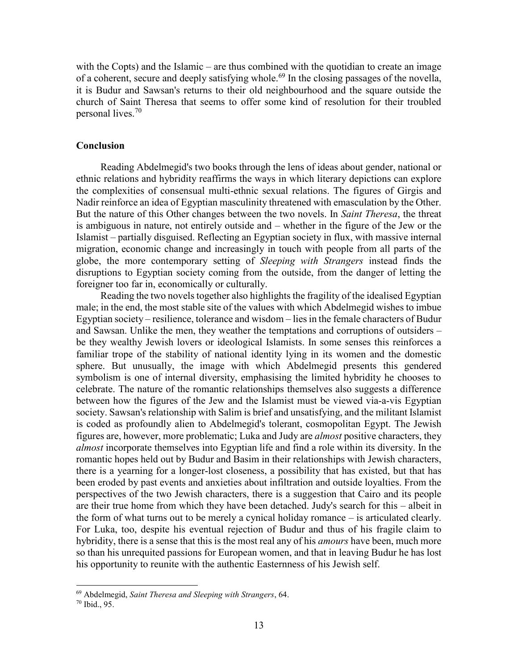with the Copts) and the Islamic – are thus combined with the quotidian to create an image of a coherent, secure and deeply satisfying whole.<sup>69</sup> In the closing passages of the novella, it is Budur and Sawsan's returns to their old neighbourhood and the square outside the church of Saint Theresa that seems to offer some kind of resolution for their troubled personal lives.<sup>70</sup>

#### **Conclusion**

Reading Abdelmegid's two books through the lens of ideas about gender, national or ethnic relations and hybridity reaffirms the ways in which literary depictions can explore the complexities of consensual multi-ethnic sexual relations. The figures of Girgis and Nadir reinforce an idea of Egyptian masculinity threatened with emasculation by the Other. But the nature of this Other changes between the two novels. In *Saint Theresa*, the threat is ambiguous in nature, not entirely outside and – whether in the figure of the Jew or the Islamist – partially disguised. Reflecting an Egyptian society in flux, with massive internal migration, economic change and increasingly in touch with people from all parts of the globe, the more contemporary setting of *Sleeping with Strangers* instead finds the disruptions to Egyptian society coming from the outside, from the danger of letting the foreigner too far in, economically or culturally.

Reading the two novels together also highlights the fragility of the idealised Egyptian male; in the end, the most stable site of the values with which Abdelmegid wishes to imbue Egyptian society – resilience, tolerance and wisdom – lies in the female characters of Budur and Sawsan. Unlike the men, they weather the temptations and corruptions of outsiders – be they wealthy Jewish lovers or ideological Islamists. In some senses this reinforces a familiar trope of the stability of national identity lying in its women and the domestic sphere. But unusually, the image with which Abdelmegid presents this gendered symbolism is one of internal diversity, emphasising the limited hybridity he chooses to celebrate. The nature of the romantic relationships themselves also suggests a difference between how the figures of the Jew and the Islamist must be viewed via-a-vis Egyptian society. Sawsan's relationship with Salim is brief and unsatisfying, and the militant Islamist is coded as profoundly alien to Abdelmegid's tolerant, cosmopolitan Egypt. The Jewish figures are, however, more problematic; Luka and Judy are *almost* positive characters, they *almost* incorporate themselves into Egyptian life and find a role within its diversity. In the romantic hopes held out by Budur and Basim in their relationships with Jewish characters, there is a yearning for a longer-lost closeness, a possibility that has existed, but that has been eroded by past events and anxieties about infiltration and outside loyalties. From the perspectives of the two Jewish characters, there is a suggestion that Cairo and its people are their true home from which they have been detached. Judy's search for this – albeit in the form of what turns out to be merely a cynical holiday romance – is articulated clearly. For Luka, too, despite his eventual rejection of Budur and thus of his fragile claim to hybridity, there is a sense that this is the most real any of his *amours* have been, much more so than his unrequited passions for European women, and that in leaving Budur he has lost his opportunity to reunite with the authentic Easternness of his Jewish self.

<sup>69</sup> Abdelmegid, *Saint Theresa and Sleeping with Strangers*, 64.

<sup>70</sup> Ibid., 95.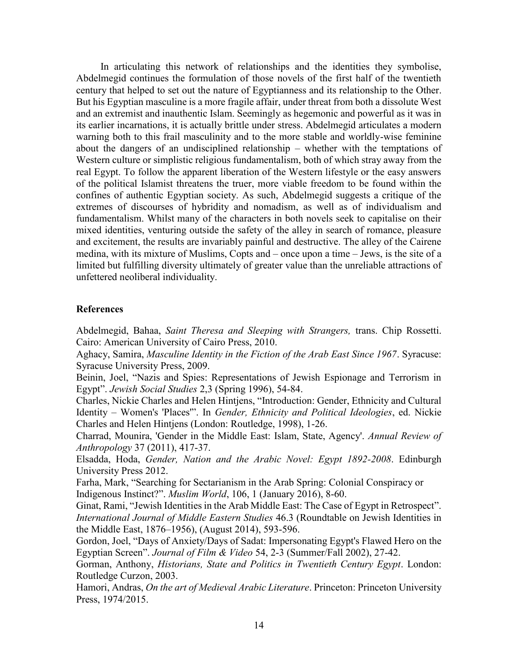In articulating this network of relationships and the identities they symbolise, Abdelmegid continues the formulation of those novels of the first half of the twentieth century that helped to set out the nature of Egyptianness and its relationship to the Other. But his Egyptian masculine is a more fragile affair, under threat from both a dissolute West and an extremist and inauthentic Islam. Seemingly as hegemonic and powerful as it was in its earlier incarnations, it is actually brittle under stress. Abdelmegid articulates a modern warning both to this frail masculinity and to the more stable and worldly-wise feminine about the dangers of an undisciplined relationship – whether with the temptations of Western culture or simplistic religious fundamentalism, both of which stray away from the real Egypt. To follow the apparent liberation of the Western lifestyle or the easy answers of the political Islamist threatens the truer, more viable freedom to be found within the confines of authentic Egyptian society. As such, Abdelmegid suggests a critique of the extremes of discourses of hybridity and nomadism, as well as of individualism and fundamentalism. Whilst many of the characters in both novels seek to capitalise on their mixed identities, venturing outside the safety of the alley in search of romance, pleasure and excitement, the results are invariably painful and destructive. The alley of the Cairene medina, with its mixture of Muslims, Copts and – once upon a time – Jews, is the site of a limited but fulfilling diversity ultimately of greater value than the unreliable attractions of unfettered neoliberal individuality.

#### **References**

Abdelmegid, Bahaa, *Saint Theresa and Sleeping with Strangers,* trans. Chip Rossetti. Cairo: American University of Cairo Press, 2010.

Aghacy, Samira, *Masculine Identity in the Fiction of the Arab East Since 1967*. Syracuse: Syracuse University Press, 2009.

Beinin, Joel, "Nazis and Spies: Representations of Jewish Espionage and Terrorism in Egypt". *Jewish Social Studies* 2,3 (Spring 1996), 54-84.

Charles, Nickie Charles and Helen Hintjens, "Introduction: Gender, Ethnicity and Cultural Identity – Women's 'Places'". In *Gender, Ethnicity and Political Ideologies*, ed. Nickie Charles and Helen Hintjens (London: Routledge, 1998), 1-26.

Charrad, Mounira, 'Gender in the Middle East: Islam, State, Agency'. *Annual Review of Anthropology* 37 (2011), 417-37.

Elsadda, Hoda, *Gender, Nation and the Arabic Novel: Egypt 1892-2008*. Edinburgh University Press 2012.

Farha, Mark, "Searching for Sectarianism in the Arab Spring: Colonial Conspiracy or Indigenous Instinct?". *Muslim World*, 106, 1 (January 2016), 8-60.

Ginat, Rami, "Jewish Identities in the Arab Middle East: The Case of Egypt in Retrospect". *International Journal of Middle Eastern Studies* 46.3 (Roundtable on Jewish Identities in the Middle East, 1876–1956), (August 2014), 593-596.

Gordon, Joel, "Days of Anxiety/Days of Sadat: Impersonating Egypt's Flawed Hero on the Egyptian Screen". *Journal of Film & Video* 54, 2-3 (Summer/Fall 2002), 27-42.

Gorman, Anthony, *Historians, State and Politics in Twentieth Century Egypt*. London: Routledge Curzon, 2003.

Hamori, Andras, *On the art of Medieval Arabic Literature*. Princeton: Princeton University Press, 1974/2015.